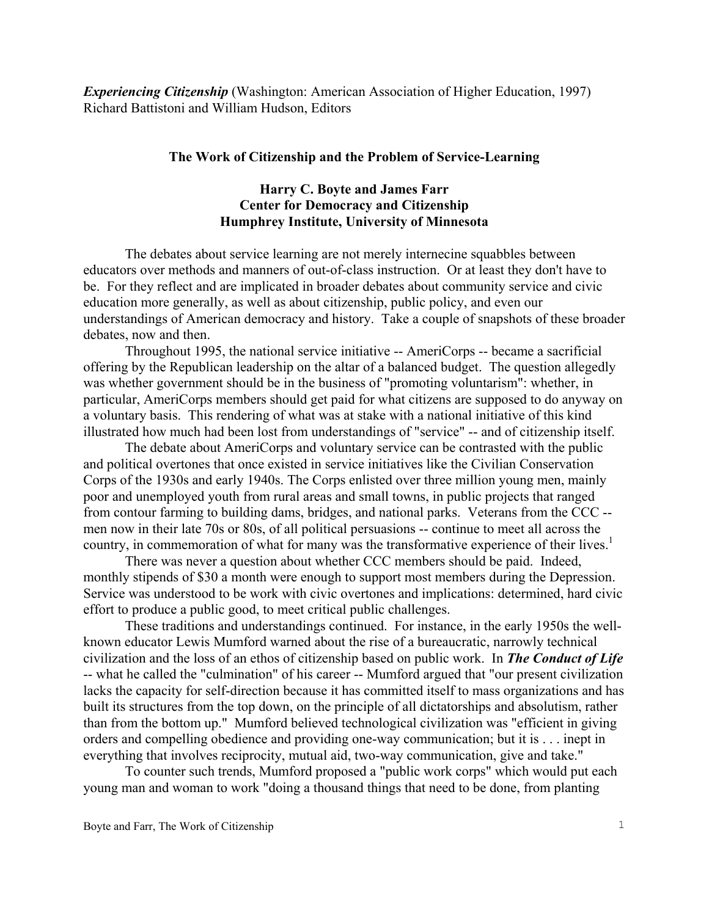*Experiencing Citizenship* (Washington: American Association of Higher Education, 1997) Richard Battistoni and William Hudson, Editors

## **The Work of Citizenship and the Problem of Service-Learning**

## **Harry C. Boyte and James Farr Center for Democracy and Citizenship Humphrey Institute, University of Minnesota**

The debates about service learning are not merely internecine squabbles between educators over methods and manners of out-of-class instruction. Or at least they don't have to be. For they reflect and are implicated in broader debates about community service and civic education more generally, as well as about citizenship, public policy, and even our understandings of American democracy and history. Take a couple of snapshots of these broader debates, now and then.

Throughout 1995, the national service initiative -- AmeriCorps -- became a sacrificial offering by the Republican leadership on the altar of a balanced budget. The question allegedly was whether government should be in the business of "promoting voluntarism": whether, in particular, AmeriCorps members should get paid for what citizens are supposed to do anyway on a voluntary basis. This rendering of what was at stake with a national initiative of this kind illustrated how much had been lost from understandings of "service" -- and of citizenship itself.

The debate about AmeriCorps and voluntary service can be contrasted with the public and political overtones that once existed in service initiatives like the Civilian Conservation Corps of the 1930s and early 1940s. The Corps enlisted over three million young men, mainly poor and unemployed youth from rural areas and small towns, in public projects that ranged from contour farming to building dams, bridges, and national parks. Veterans from the CCC - men now in their late 70s or 80s, of all political persuasions -- continue to meet all across the country, in commemoration of what for many was the transformative experience of their lives.<sup>[1](#page-11-0)</sup>

There was never a question about whether CCC members should be paid. Indeed, monthly stipends of \$30 a month were enough to support most members during the Depression. Service was understood to be work with civic overtones and implications: determined, hard civic effort to produce a public good, to meet critical public challenges.

These traditions and understandings continued. For instance, in the early 1950s the wellknown educator Lewis Mumford warned about the rise of a bureaucratic, narrowly technical civilization and the loss of an ethos of citizenship based on public work. In *The Conduct of Life* -- what he called the "culmination" of his career -- Mumford argued that "our present civilization lacks the capacity for self-direction because it has committed itself to mass organizations and has built its structures from the top down, on the principle of all dictatorships and absolutism, rather than from the bottom up." Mumford believed technological civilization was "efficient in giving orders and compelling obedience and providing one-way communication; but it is . . . inept in everything that involves reciprocity, mutual aid, two-way communication, give and take."

To counter such trends, Mumford proposed a "public work corps" which would put each young man and woman to work "doing a thousand things that need to be done, from planting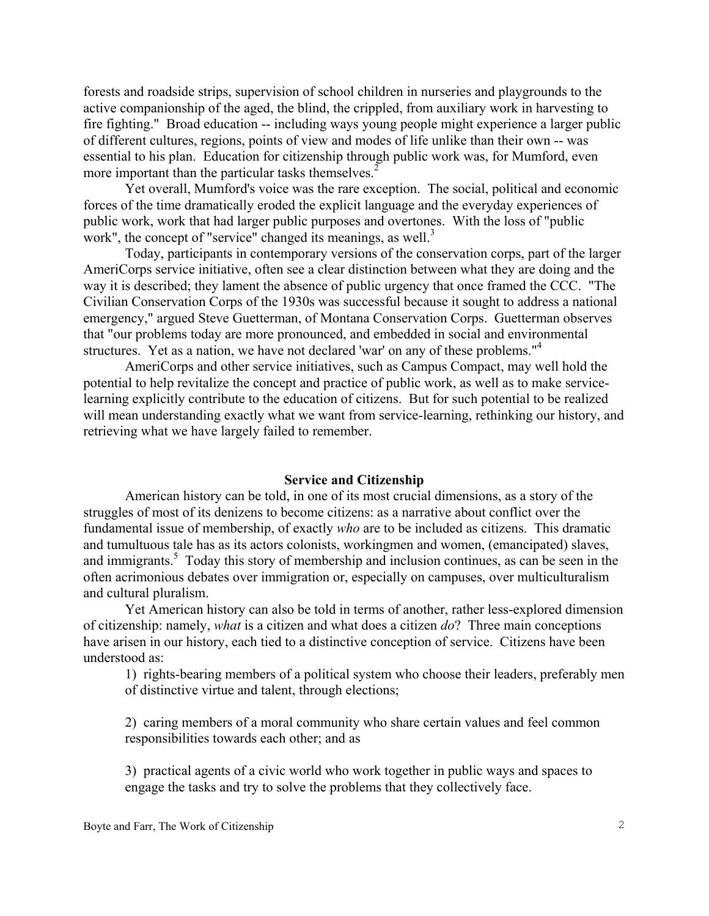forests and roadside strips, supervision of school children in nurseries and playgrounds to the active companionship of the aged, the blind, the crippled, from auxiliary work in harvesting to fire fighting." Broad education -- including ways young people might experience a larger public of different cultures, regions, points of view and modes of life unlike than their own -- was essential to his plan. Education for citizenship through public work was, for Mumford, even more important than the particular tasks themselves.<sup>2</sup>

Yet overall, Mumford's voice was the rare exception. The social, political and economic forces of the time dramatically eroded the explicit language and the everyday experiences of public work, work that had larger public purposes and overtones. With the loss of "public work", the concept of "service" changed its meanings, as well.<sup>[3](#page-11-2)</sup>

Today, participants in contemporary versions of the conservation corps, part of the larger AmeriCorps service initiative, often see a clear distinction between what they are doing and the way it is described; they lament the absence of public urgency that once framed the CCC. "The Civilian Conservation Corps of the 1930s was successful because it sought to address a national emergency," argued Steve Guetterman, of Montana Conservation Corps. Guetterman observes that "our problems today are more pronounced, and embedded in social and environmental structures. Yet as a nation, we have not declared 'war' on any of these problems."<sup>[4](#page-11-3)</sup>

AmeriCorps and other service initiatives, such as Campus Compact, may well hold the potential to help revitalize the concept and practice of public work, as well as to make servicelearning explicitly contribute to the education of citizens. But for such potential to be realized will mean understanding exactly what we want from service-learning, rethinking our history, and retrieving what we have largely failed to remember.

#### **Service and Citizenship**

American history can be told, in one of its most crucial dimensions, as a story of the struggles of most of its denizens to become citizens: as a narrative about conflict over the fundamental issue of membership, of exactly *who* are to be included as citizens. This dramatic and tumultuous tale has as its actors colonists, workingmen and women, (emancipated) slaves, and immigrants.<sup>[5](#page-11-4)</sup> Today this story of membership and inclusion continues, as can be seen in the often acrimonious debates over immigration or, especially on campuses, over multiculturalism and cultural pluralism.

Yet American history can also be told in terms of another, rather less-explored dimension of citizenship: namely, *what* is a citizen and what does a citizen *do*? Three main conceptions have arisen in our history, each tied to a distinctive conception of service. Citizens have been understood as:

1) rights-bearing members of a political system who choose their leaders, preferably men of distinctive virtue and talent, through elections;

2) caring members of a moral community who share certain values and feel common responsibilities towards each other; and as

3) practical agents of a civic world who work together in public ways and spaces to engage the tasks and try to solve the problems that they collectively face.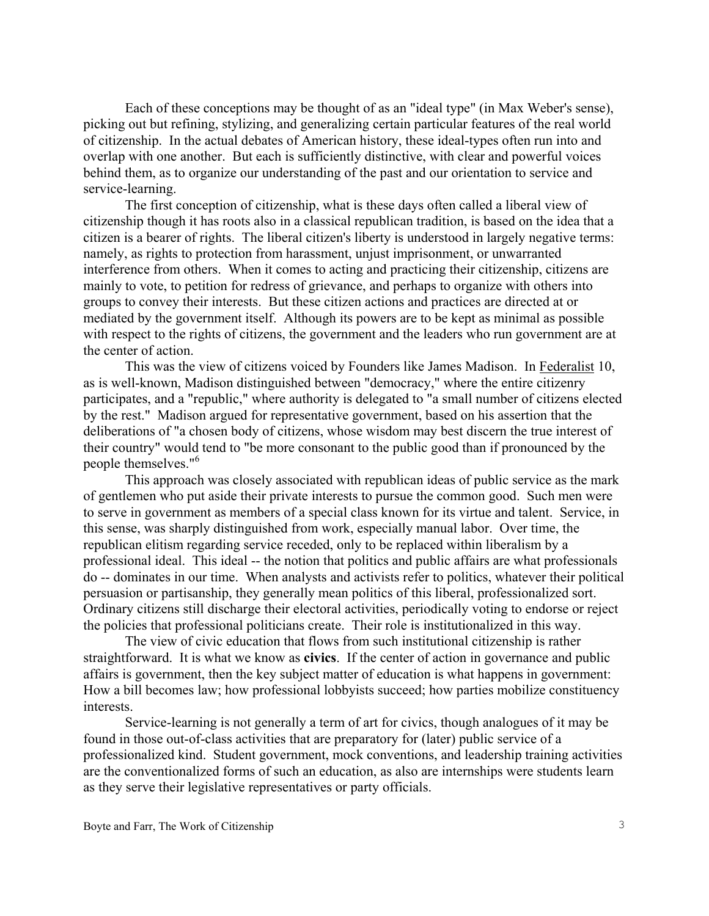Each of these conceptions may be thought of as an "ideal type" (in Max Weber's sense), picking out but refining, stylizing, and generalizing certain particular features of the real world of citizenship. In the actual debates of American history, these ideal-types often run into and overlap with one another. But each is sufficiently distinctive, with clear and powerful voices behind them, as to organize our understanding of the past and our orientation to service and service-learning.

The first conception of citizenship, what is these days often called a liberal view of citizenship though it has roots also in a classical republican tradition, is based on the idea that a citizen is a bearer of rights. The liberal citizen's liberty is understood in largely negative terms: namely, as rights to protection from harassment, unjust imprisonment, or unwarranted interference from others. When it comes to acting and practicing their citizenship, citizens are mainly to vote, to petition for redress of grievance, and perhaps to organize with others into groups to convey their interests. But these citizen actions and practices are directed at or mediated by the government itself. Although its powers are to be kept as minimal as possible with respect to the rights of citizens, the government and the leaders who run government are at the center of action.

This was the view of citizens voiced by Founders like James Madison. In Federalist 10, as is well-known, Madison distinguished between "democracy," where the entire citizenry participates, and a "republic," where authority is delegated to "a small number of citizens elected by the rest." Madison argued for representative government, based on his assertion that the deliberations of "a chosen body of citizens, whose wisdom may best discern the true interest of their country" would tend to "be more consonant to the public good than if pronounced by the people themselves."[6](#page-11-5)

This approach was closely associated with republican ideas of public service as the mark of gentlemen who put aside their private interests to pursue the common good. Such men were to serve in government as members of a special class known for its virtue and talent. Service, in this sense, was sharply distinguished from work, especially manual labor. Over time, the republican elitism regarding service receded, only to be replaced within liberalism by a professional ideal. This ideal -- the notion that politics and public affairs are what professionals do -- dominates in our time. When analysts and activists refer to politics, whatever their political persuasion or partisanship, they generally mean politics of this liberal, professionalized sort. Ordinary citizens still discharge their electoral activities, periodically voting to endorse or reject the policies that professional politicians create. Their role is institutionalized in this way.

The view of civic education that flows from such institutional citizenship is rather straightforward. It is what we know as **civics**. If the center of action in governance and public affairs is government, then the key subject matter of education is what happens in government: How a bill becomes law; how professional lobbyists succeed; how parties mobilize constituency interests.

Service-learning is not generally a term of art for civics, though analogues of it may be found in those out-of-class activities that are preparatory for (later) public service of a professionalized kind. Student government, mock conventions, and leadership training activities are the conventionalized forms of such an education, as also are internships were students learn as they serve their legislative representatives or party officials.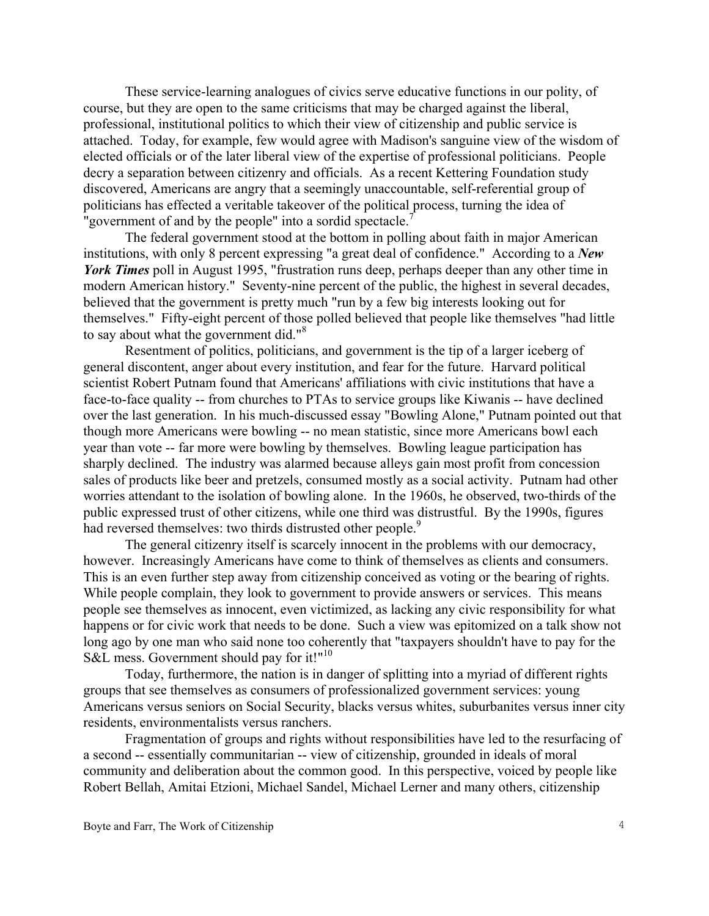These service-learning analogues of civics serve educative functions in our polity, of course, but they are open to the same criticisms that may be charged against the liberal, professional, institutional politics to which their view of citizenship and public service is attached. Today, for example, few would agree with Madison's sanguine view of the wisdom of elected officials or of the later liberal view of the expertise of professional politicians. People decry a separation between citizenry and officials. As a recent Kettering Foundation study discovered, Americans are angry that a seemingly unaccountable, self-referential group of politicians has effected a veritable takeover of the political process, turning the idea of "government of and by the people" into a sordid spectacle.<sup>[7](#page-11-6)</sup>

 The federal government stood at the bottom in polling about faith in major American institutions, with only 8 percent expressing "a great deal of confidence." According to a *New York Times* poll in August 1995, "frustration runs deep, perhaps deeper than any other time in modern American history." Seventy-nine percent of the public, the highest in several decades, believed that the government is pretty much "run by a few big interests looking out for themselves." Fifty-eight percent of those polled believed that people like themselves "had little to say about what the government did."<sup>[8](#page-11-7)</sup>

Resentment of politics, politicians, and government is the tip of a larger iceberg of general discontent, anger about every institution, and fear for the future. Harvard political scientist Robert Putnam found that Americans' affiliations with civic institutions that have a face-to-face quality -- from churches to PTAs to service groups like Kiwanis -- have declined over the last generation. In his much-discussed essay "Bowling Alone," Putnam pointed out that though more Americans were bowling -- no mean statistic, since more Americans bowl each year than vote -- far more were bowling by themselves. Bowling league participation has sharply declined. The industry was alarmed because alleys gain most profit from concession sales of products like beer and pretzels, consumed mostly as a social activity. Putnam had other worries attendant to the isolation of bowling alone. In the 1960s, he observed, two-thirds of the public expressed trust of other citizens, while one third was distrustful. By the 1990s, figures had reversed themselves: two thirds distrusted other people.<sup>[9](#page-11-8)</sup>

The general citizenry itself is scarcely innocent in the problems with our democracy, however. Increasingly Americans have come to think of themselves as clients and consumers. This is an even further step away from citizenship conceived as voting or the bearing of rights. While people complain, they look to government to provide answers or services. This means people see themselves as innocent, even victimized, as lacking any civic responsibility for what happens or for civic work that needs to be done. Such a view was epitomized on a talk show not long ago by one man who said none too coherently that "taxpayers shouldn't have to pay for the S&L mess. Government should pay for it!"<sup>[10](#page-11-9)</sup>

Today, furthermore, the nation is in danger of splitting into a myriad of different rights groups that see themselves as consumers of professionalized government services: young Americans versus seniors on Social Security, blacks versus whites, suburbanites versus inner city residents, environmentalists versus ranchers.

Fragmentation of groups and rights without responsibilities have led to the resurfacing of a second -- essentially communitarian -- view of citizenship, grounded in ideals of moral community and deliberation about the common good. In this perspective, voiced by people like Robert Bellah, Amitai Etzioni, Michael Sandel, Michael Lerner and many others, citizenship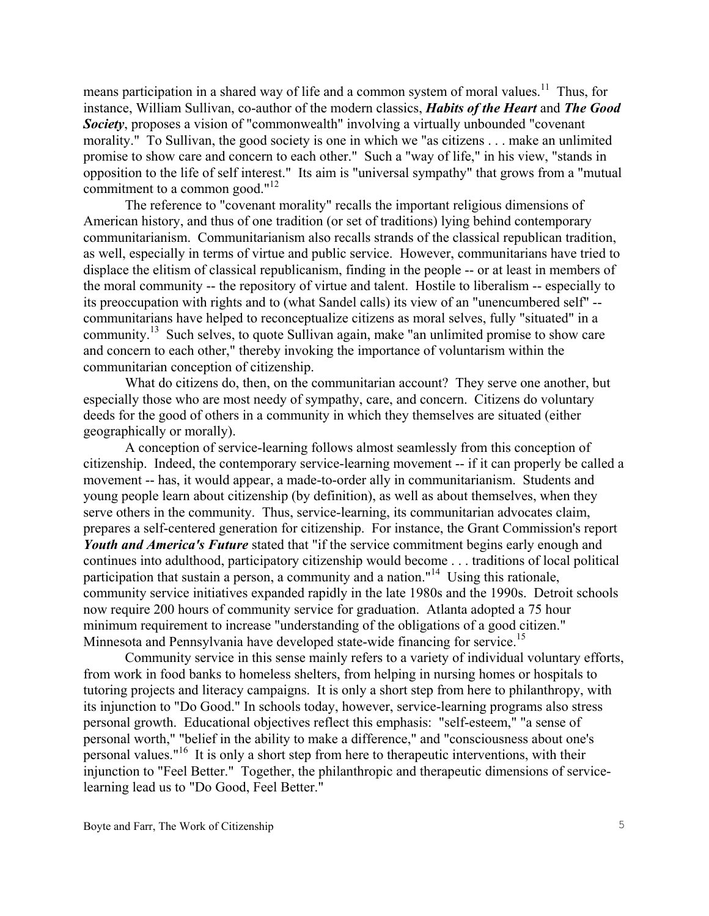means participation in a shared way of life and a common system of moral values.<sup>11</sup> Thus, for instance, William Sullivan, co-author of the modern classics, *Habits of the Heart* and *The Good Society*, proposes a vision of "commonwealth" involving a virtually unbounded "covenant morality." To Sullivan, the good society is one in which we "as citizens . . . make an unlimited promise to show care and concern to each other." Such a "way of life," in his view, "stands in opposition to the life of self interest." Its aim is "universal sympathy" that grows from a "mutual commitment to a common good."<sup>[12](#page-11-11)</sup>

The reference to "covenant morality" recalls the important religious dimensions of American history, and thus of one tradition (or set of traditions) lying behind contemporary communitarianism. Communitarianism also recalls strands of the classical republican tradition, as well, especially in terms of virtue and public service. However, communitarians have tried to displace the elitism of classical republicanism, finding in the people -- or at least in members of the moral community -- the repository of virtue and talent. Hostile to liberalism -- especially to its preoccupation with rights and to (what Sandel calls) its view of an "unencumbered self" - communitarians have helped to reconceptualize citizens as moral selves, fully "situated" in a community.<sup>13</sup> Such selves, to quote Sullivan again, make "an unlimited promise to show care and concern to each other," thereby invoking the importance of voluntarism within the communitarian conception of citizenship.

What do citizens do, then, on the communitarian account? They serve one another, but especially those who are most needy of sympathy, care, and concern. Citizens do voluntary deeds for the good of others in a community in which they themselves are situated (either geographically or morally).

A conception of service-learning follows almost seamlessly from this conception of citizenship. Indeed, the contemporary service-learning movement -- if it can properly be called a movement -- has, it would appear, a made-to-order ally in communitarianism. Students and young people learn about citizenship (by definition), as well as about themselves, when they serve others in the community. Thus, service-learning, its communitarian advocates claim, prepares a self-centered generation for citizenship. For instance, the Grant Commission's report *Youth and America's Future* stated that "if the service commitment begins early enough and continues into adulthood, participatory citizenship would become . . . traditions of local political participation that sustain a person, a community and a nation."<sup>14</sup> Using this rationale, community service initiatives expanded rapidly in the late 1980s and the 1990s. Detroit schools now require 200 hours of community service for graduation. Atlanta adopted a 75 hour minimum requirement to increase "understanding of the obligations of a good citizen." Minnesota and Pennsylvania have developed state-wide financing for service.<sup>15</sup>

Community service in this sense mainly refers to a variety of individual voluntary efforts, from work in food banks to homeless shelters, from helping in nursing homes or hospitals to tutoring projects and literacy campaigns. It is only a short step from here to philanthropy, with its injunction to "Do Good." In schools today, however, service-learning programs also stress personal growth. Educational objectives reflect this emphasis: "self-esteem," "a sense of personal worth," "belief in the ability to make a difference," and "consciousness about one's personal values."[16](#page-11-14) It is only a short step from here to therapeutic interventions, with their injunction to "Feel Better." Together, the philanthropic and therapeutic dimensions of servicelearning lead us to "Do Good, Feel Better."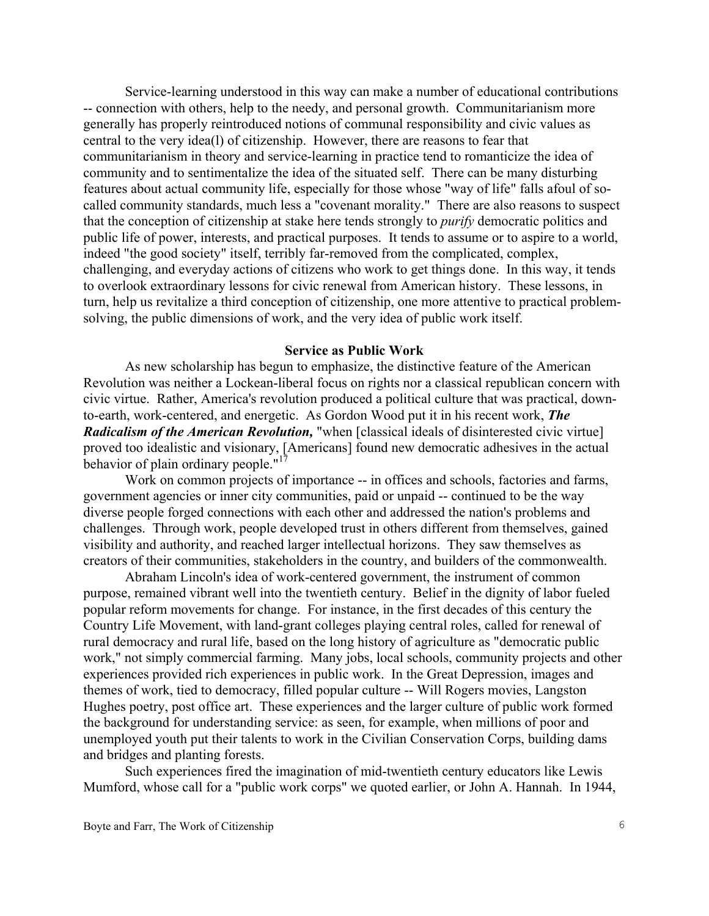Service-learning understood in this way can make a number of educational contributions -- connection with others, help to the needy, and personal growth. Communitarianism more generally has properly reintroduced notions of communal responsibility and civic values as central to the very idea(l) of citizenship. However, there are reasons to fear that communitarianism in theory and service-learning in practice tend to romanticize the idea of community and to sentimentalize the idea of the situated self. There can be many disturbing features about actual community life, especially for those whose "way of life" falls afoul of socalled community standards, much less a "covenant morality." There are also reasons to suspect that the conception of citizenship at stake here tends strongly to *purify* democratic politics and public life of power, interests, and practical purposes. It tends to assume or to aspire to a world, indeed "the good society" itself, terribly far-removed from the complicated, complex, challenging, and everyday actions of citizens who work to get things done. In this way, it tends to overlook extraordinary lessons for civic renewal from American history. These lessons, in turn, help us revitalize a third conception of citizenship, one more attentive to practical problemsolving, the public dimensions of work, and the very idea of public work itself.

### **Service as Public Work**

As new scholarship has begun to emphasize, the distinctive feature of the American Revolution was neither a Lockean-liberal focus on rights nor a classical republican concern with civic virtue. Rather, America's revolution produced a political culture that was practical, downto-earth, work-centered, and energetic. As Gordon Wood put it in his recent work, *The Radicalism of the American Revolution,* "when [classical ideals of disinterested civic virtue] proved too idealistic and visionary, [Americans] found new democratic adhesives in the actual behavior of plain ordinary people. $17$ 

Work on common projects of importance -- in offices and schools, factories and farms, government agencies or inner city communities, paid or unpaid -- continued to be the way diverse people forged connections with each other and addressed the nation's problems and challenges. Through work, people developed trust in others different from themselves, gained visibility and authority, and reached larger intellectual horizons. They saw themselves as creators of their communities, stakeholders in the country, and builders of the commonwealth.

Abraham Lincoln's idea of work-centered government, the instrument of common purpose, remained vibrant well into the twentieth century. Belief in the dignity of labor fueled popular reform movements for change. For instance, in the first decades of this century the Country Life Movement, with land-grant colleges playing central roles, called for renewal of rural democracy and rural life, based on the long history of agriculture as "democratic public work," not simply commercial farming. Many jobs, local schools, community projects and other experiences provided rich experiences in public work. In the Great Depression, images and themes of work, tied to democracy, filled popular culture -- Will Rogers movies, Langston Hughes poetry, post office art. These experiences and the larger culture of public work formed the background for understanding service: as seen, for example, when millions of poor and unemployed youth put their talents to work in the Civilian Conservation Corps, building dams and bridges and planting forests.

Such experiences fired the imagination of mid-twentieth century educators like Lewis Mumford, whose call for a "public work corps" we quoted earlier, or John A. Hannah. In 1944,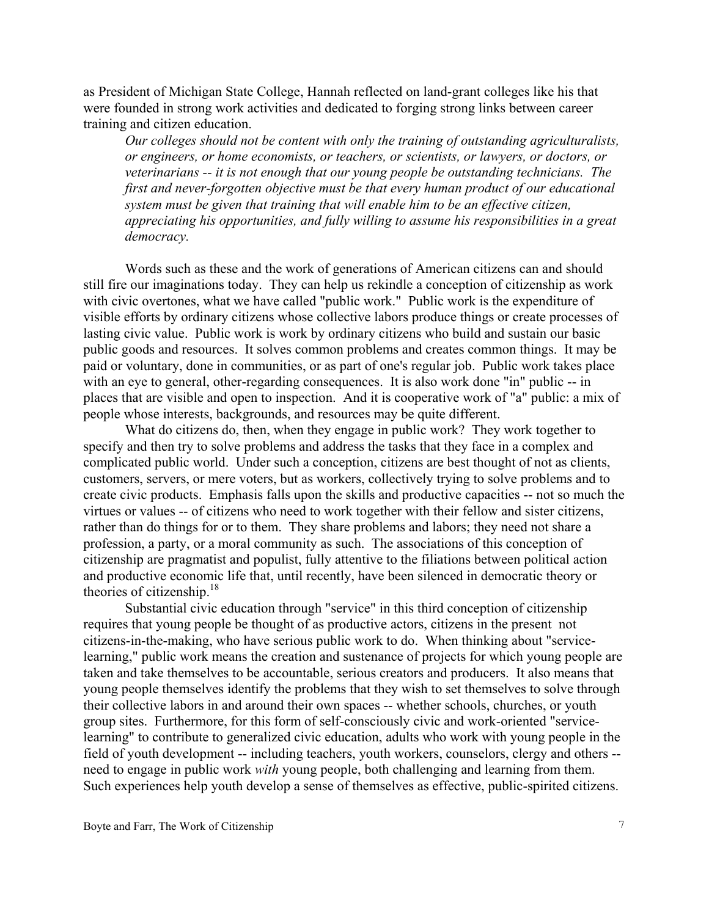as President of Michigan State College, Hannah reflected on land-grant colleges like his that were founded in strong work activities and dedicated to forging strong links between career training and citizen education.

*Our colleges should not be content with only the training of outstanding agriculturalists, or engineers, or home economists, or teachers, or scientists, or lawyers, or doctors, or veterinarians -- it is not enough that our young people be outstanding technicians. The first and never-forgotten objective must be that every human product of our educational system must be given that training that will enable him to be an effective citizen, appreciating his opportunities, and fully willing to assume his responsibilities in a great democracy.* 

Words such as these and the work of generations of American citizens can and should still fire our imaginations today. They can help us rekindle a conception of citizenship as work with civic overtones, what we have called "public work." Public work is the expenditure of visible efforts by ordinary citizens whose collective labors produce things or create processes of lasting civic value. Public work is work by ordinary citizens who build and sustain our basic public goods and resources. It solves common problems and creates common things. It may be paid or voluntary, done in communities, or as part of one's regular job. Public work takes place with an eye to general, other-regarding consequences. It is also work done "in" public -- in places that are visible and open to inspection. And it is cooperative work of "a" public: a mix of people whose interests, backgrounds, and resources may be quite different.

What do citizens do, then, when they engage in public work? They work together to specify and then try to solve problems and address the tasks that they face in a complex and complicated public world. Under such a conception, citizens are best thought of not as clients, customers, servers, or mere voters, but as workers, collectively trying to solve problems and to create civic products. Emphasis falls upon the skills and productive capacities -- not so much the virtues or values -- of citizens who need to work together with their fellow and sister citizens, rather than do things for or to them. They share problems and labors; they need not share a profession, a party, or a moral community as such. The associations of this conception of citizenship are pragmatist and populist, fully attentive to the filiations between political action and productive economic life that, until recently, have been silenced in democratic theory or theories of citizenship. $18$ 

Substantial civic education through "service" in this third conception of citizenship requires that young people be thought of as productive actors, citizens in the present not citizens-in-the-making, who have serious public work to do. When thinking about "servicelearning," public work means the creation and sustenance of projects for which young people are taken and take themselves to be accountable, serious creators and producers. It also means that young people themselves identify the problems that they wish to set themselves to solve through their collective labors in and around their own spaces -- whether schools, churches, or youth group sites. Furthermore, for this form of self-consciously civic and work-oriented "servicelearning" to contribute to generalized civic education, adults who work with young people in the field of youth development -- including teachers, youth workers, counselors, clergy and others - need to engage in public work *with* young people, both challenging and learning from them. Such experiences help youth develop a sense of themselves as effective, public-spirited citizens.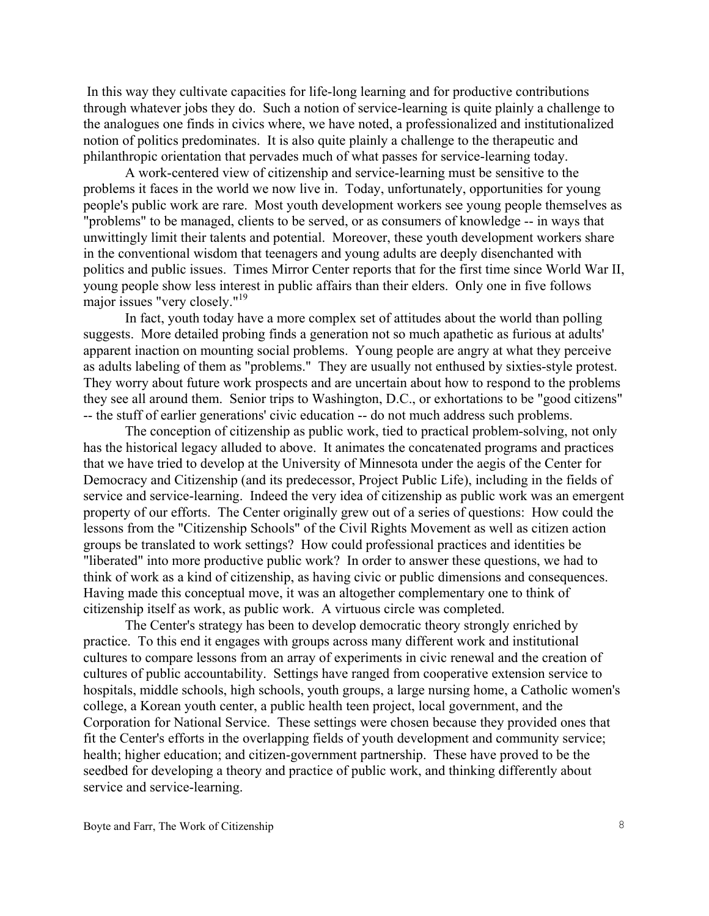In this way they cultivate capacities for life-long learning and for productive contributions through whatever jobs they do. Such a notion of service-learning is quite plainly a challenge to the analogues one finds in civics where, we have noted, a professionalized and institutionalized notion of politics predominates. It is also quite plainly a challenge to the therapeutic and philanthropic orientation that pervades much of what passes for service-learning today.

A work-centered view of citizenship and service-learning must be sensitive to the problems it faces in the world we now live in. Today, unfortunately, opportunities for young people's public work are rare. Most youth development workers see young people themselves as "problems" to be managed, clients to be served, or as consumers of knowledge -- in ways that unwittingly limit their talents and potential. Moreover, these youth development workers share in the conventional wisdom that teenagers and young adults are deeply disenchanted with politics and public issues. Times Mirror Center reports that for the first time since World War II, young people show less interest in public affairs than their elders. Only one in five follows major issues "very closely."[19](#page-11-16)

In fact, youth today have a more complex set of attitudes about the world than polling suggests. More detailed probing finds a generation not so much apathetic as furious at adults' apparent inaction on mounting social problems. Young people are angry at what they perceive as adults labeling of them as "problems." They are usually not enthused by sixties-style protest. They worry about future work prospects and are uncertain about how to respond to the problems they see all around them. Senior trips to Washington, D.C., or exhortations to be "good citizens" -- the stuff of earlier generations' civic education -- do not much address such problems.

The conception of citizenship as public work, tied to practical problem-solving, not only has the historical legacy alluded to above. It animates the concatenated programs and practices that we have tried to develop at the University of Minnesota under the aegis of the Center for Democracy and Citizenship (and its predecessor, Project Public Life), including in the fields of service and service-learning. Indeed the very idea of citizenship as public work was an emergent property of our efforts. The Center originally grew out of a series of questions: How could the lessons from the "Citizenship Schools" of the Civil Rights Movement as well as citizen action groups be translated to work settings? How could professional practices and identities be "liberated" into more productive public work? In order to answer these questions, we had to think of work as a kind of citizenship, as having civic or public dimensions and consequences. Having made this conceptual move, it was an altogether complementary one to think of citizenship itself as work, as public work. A virtuous circle was completed.

 The Center's strategy has been to develop democratic theory strongly enriched by practice. To this end it engages with groups across many different work and institutional cultures to compare lessons from an array of experiments in civic renewal and the creation of cultures of public accountability. Settings have ranged from cooperative extension service to hospitals, middle schools, high schools, youth groups, a large nursing home, a Catholic women's college, a Korean youth center, a public health teen project, local government, and the Corporation for National Service. These settings were chosen because they provided ones that fit the Center's efforts in the overlapping fields of youth development and community service; health; higher education; and citizen-government partnership. These have proved to be the seedbed for developing a theory and practice of public work, and thinking differently about service and service-learning.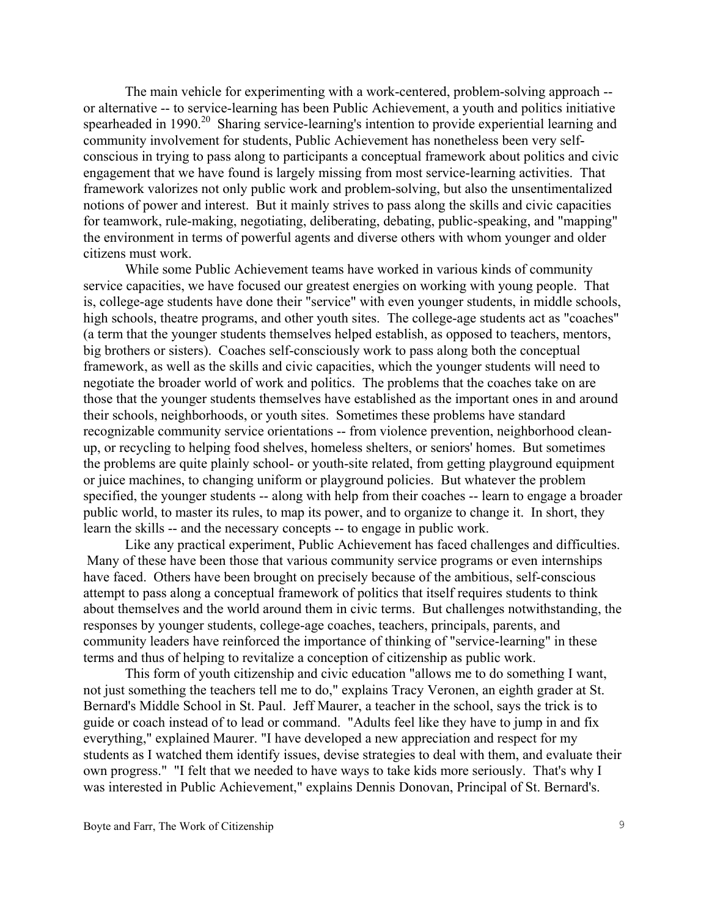The main vehicle for experimenting with a work-centered, problem-solving approach - or alternative -- to service-learning has been Public Achievement, a youth and politics initiative spearheaded in 1990.<sup>20</sup> Sharing service-learning's intention to provide experiential learning and community involvement for students, Public Achievement has nonetheless been very selfconscious in trying to pass along to participants a conceptual framework about politics and civic engagement that we have found is largely missing from most service-learning activities. That framework valorizes not only public work and problem-solving, but also the unsentimentalized notions of power and interest. But it mainly strives to pass along the skills and civic capacities for teamwork, rule-making, negotiating, deliberating, debating, public-speaking, and "mapping" the environment in terms of powerful agents and diverse others with whom younger and older citizens must work.

While some Public Achievement teams have worked in various kinds of community service capacities, we have focused our greatest energies on working with young people. That is, college-age students have done their "service" with even younger students, in middle schools, high schools, theatre programs, and other youth sites. The college-age students act as "coaches" (a term that the younger students themselves helped establish, as opposed to teachers, mentors, big brothers or sisters). Coaches self-consciously work to pass along both the conceptual framework, as well as the skills and civic capacities, which the younger students will need to negotiate the broader world of work and politics. The problems that the coaches take on are those that the younger students themselves have established as the important ones in and around their schools, neighborhoods, or youth sites. Sometimes these problems have standard recognizable community service orientations -- from violence prevention, neighborhood cleanup, or recycling to helping food shelves, homeless shelters, or seniors' homes. But sometimes the problems are quite plainly school- or youth-site related, from getting playground equipment or juice machines, to changing uniform or playground policies. But whatever the problem specified, the younger students -- along with help from their coaches -- learn to engage a broader public world, to master its rules, to map its power, and to organize to change it. In short, they learn the skills -- and the necessary concepts -- to engage in public work.

Like any practical experiment, Public Achievement has faced challenges and difficulties. Many of these have been those that various community service programs or even internships have faced. Others have been brought on precisely because of the ambitious, self-conscious attempt to pass along a conceptual framework of politics that itself requires students to think about themselves and the world around them in civic terms. But challenges notwithstanding, the responses by younger students, college-age coaches, teachers, principals, parents, and community leaders have reinforced the importance of thinking of "service-learning" in these terms and thus of helping to revitalize a conception of citizenship as public work.

This form of youth citizenship and civic education "allows me to do something I want, not just something the teachers tell me to do," explains Tracy Veronen, an eighth grader at St. Bernard's Middle School in St. Paul. Jeff Maurer, a teacher in the school, says the trick is to guide or coach instead of to lead or command. "Adults feel like they have to jump in and fix everything," explained Maurer. "I have developed a new appreciation and respect for my students as I watched them identify issues, devise strategies to deal with them, and evaluate their own progress." "I felt that we needed to have ways to take kids more seriously. That's why I was interested in Public Achievement," explains Dennis Donovan, Principal of St. Bernard's.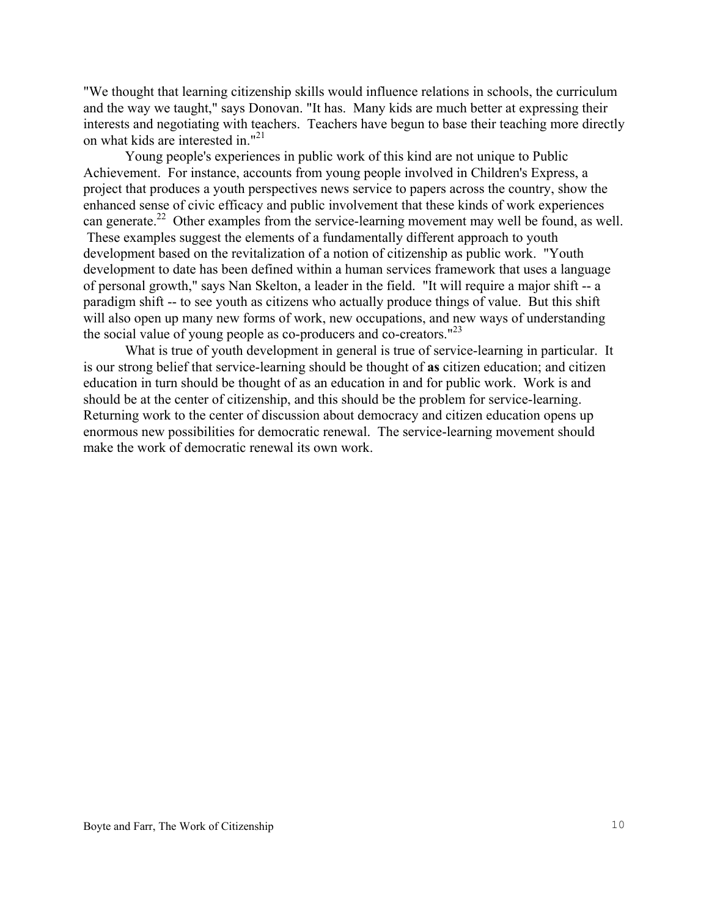"We thought that learning citizenship skills would influence relations in schools, the curriculum and the way we taught," says Donovan. "It has. Many kids are much better at expressing their interests and negotiating with teachers. Teachers have begun to base their teaching more directly on what kids are interested in."[21](#page-11-18)

Young people's experiences in public work of this kind are not unique to Public Achievement. For instance, accounts from young people involved in Children's Express, a project that produces a youth perspectives news service to papers across the country, show the enhanced sense of civic efficacy and public involvement that these kinds of work experiences can generate.<sup>22</sup> Other examples from the service-learning movement may well be found, as well. These examples suggest the elements of a fundamentally different approach to youth development based on the revitalization of a notion of citizenship as public work. "Youth development to date has been defined within a human services framework that uses a language of personal growth," says Nan Skelton, a leader in the field. "It will require a major shift -- a paradigm shift -- to see youth as citizens who actually produce things of value. But this shift will also open up many new forms of work, new occupations, and new ways of understanding the social value of young people as co-producers and co-creators."<sup>23</sup>

What is true of youth development in general is true of service-learning in particular. It is our strong belief that service-learning should be thought of **as** citizen education; and citizen education in turn should be thought of as an education in and for public work. Work is and should be at the center of citizenship, and this should be the problem for service-learning. Returning work to the center of discussion about democracy and citizen education opens up enormous new possibilities for democratic renewal. The service-learning movement should make the work of democratic renewal its own work.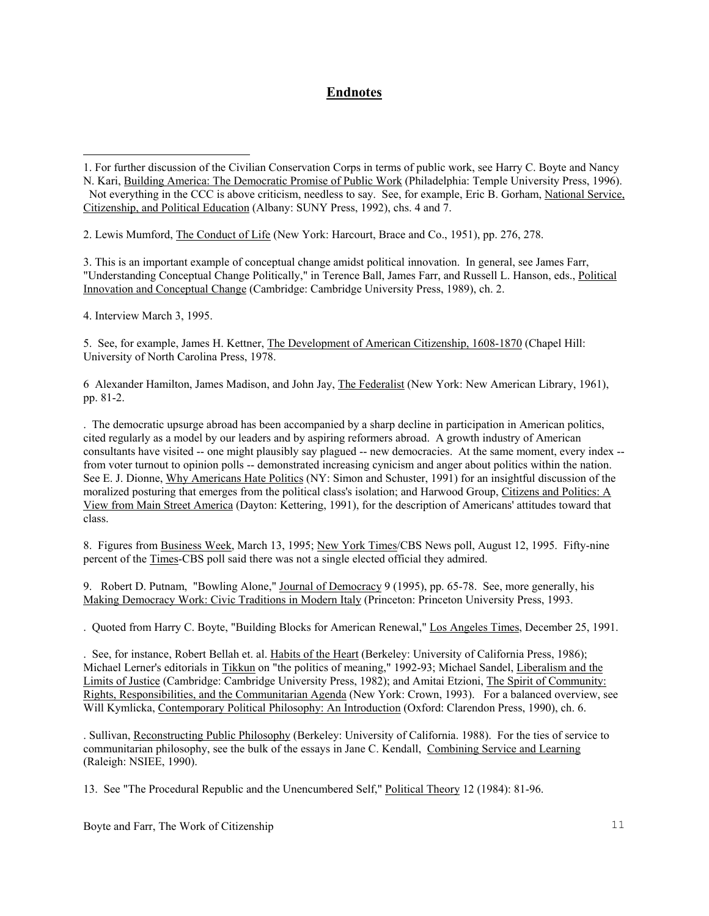# **Endnotes**

2. Lewis Mumford, The Conduct of Life (New York: Harcourt, Brace and Co., 1951), pp. 276, 278.

3. This is an important example of conceptual change amidst political innovation. In general, see James Farr, "Understanding Conceptual Change Politically," in Terence Ball, James Farr, and Russell L. Hanson, eds., Political Innovation and Conceptual Change (Cambridge: Cambridge University Press, 1989), ch. 2.

4. Interview March 3, 1995.

i

5. See, for example, James H. Kettner, The Development of American Citizenship, 1608-1870 (Chapel Hill: University of North Carolina Press, 1978.

6 Alexander Hamilton, James Madison, and John Jay, The Federalist (New York: New American Library, 1961), pp. 81-2.

. The democratic upsurge abroad has been accompanied by a sharp decline in participation in American politics, cited regularly as a model by our leaders and by aspiring reformers abroad. A growth industry of American consultants have visited -- one might plausibly say plagued -- new democracies. At the same moment, every index - from voter turnout to opinion polls -- demonstrated increasing cynicism and anger about politics within the nation. See E. J. Dionne, Why Americans Hate Politics (NY: Simon and Schuster, 1991) for an insightful discussion of the moralized posturing that emerges from the political class's isolation; and Harwood Group, Citizens and Politics: A View from Main Street America (Dayton: Kettering, 1991), for the description of Americans' attitudes toward that class.

8. Figures from Business Week, March 13, 1995; New York Times/CBS News poll, August 12, 1995. Fifty-nine percent of the Times-CBS poll said there was not a single elected official they admired.

9. Robert D. Putnam, "Bowling Alone," Journal of Democracy 9 (1995), pp. 65-78. See, more generally, his Making Democracy Work: Civic Traditions in Modern Italy (Princeton: Princeton University Press, 1993.

. Quoted from Harry C. Boyte, "Building Blocks for American Renewal," Los Angeles Times, December 25, 1991.

. See, for instance, Robert Bellah et. al. Habits of the Heart (Berkeley: University of California Press, 1986); Michael Lerner's editorials in Tikkun on "the politics of meaning," 1992-93; Michael Sandel, Liberalism and the Limits of Justice (Cambridge: Cambridge University Press, 1982); and Amitai Etzioni, The Spirit of Community: Rights, Responsibilities, and the Communitarian Agenda (New York: Crown, 1993). For a balanced overview, see Will Kymlicka, Contemporary Political Philosophy: An Introduction (Oxford: Clarendon Press, 1990), ch. 6.

. Sullivan, Reconstructing Public Philosophy (Berkeley: University of California. 1988). For the ties of service to communitarian philosophy, see the bulk of the essays in Jane C. Kendall, Combining Service and Learning (Raleigh: NSIEE, 1990).

13. See "The Procedural Republic and the Unencumbered Self," Political Theory 12 (1984): 81-96.

Boyte and Farr, The Work of Citizenship 11

<sup>1.</sup> For further discussion of the Civilian Conservation Corps in terms of public work, see Harry C. Boyte and Nancy

N. Kari, Building America: The Democratic Promise of Public Work (Philadelphia: Temple University Press, 1996). Not everything in the CCC is above criticism, needless to say. See, for example, Eric B. Gorham, National Service, Citizenship, and Political Education (Albany: SUNY Press, 1992), chs. 4 and 7.